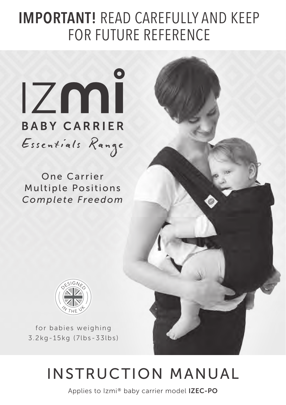# IMPORTANT! READ CAREFULLY AND KEEP FOR FUTURE REFERENCE



One Carrier Multiple Positions *Complete Freedom*



for babies weighing 3.2kg-15kg (7lbs-33lbs)

# INSTRUCTION MANUAL

Applies to Izmi® baby carrier model IZEC-PO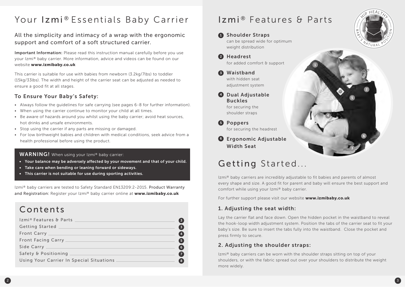# Your Izmi® Essentials Baby Carrier

### All the simplicity and intimacy of a wrap with the ergonomic support and comfort of a soft structured carrier.

Important Information: Please read this instruction manual carefully before you use your Izmi® baby carrier. More information, advice and videos can be found on our website www.izmibaby.co.uk

This carrier is suitable for use with babies from newborn (3.2kg/7lbs) to toddler (15kg/33lbs). The width and height of the carrier seat can be adjusted as needed to ensure a good fit at all stages.

### To Ensure Your Baby's Safety:

- Always follow the guidelines for safe carrying (see pages 6-8 for further information).
- When using the carrier continue to monitor your child at all times.
- $\bullet$  Be aware of hazards around you whilst using the baby carrier; avoid heat sources, hot drinks and unsafe environments.
- Stop using the carrier if any parts are missing or damaged.
- For low birthweight babies and children with medical conditions, seek advice from a health professional before using the product.

### WARNING! When using your Izmi® baby carrier:

- Your balance may be adversely affected by your movement and that of your child.
- Take care when bending or leaning forward or sideways.
- This carrier is not suitable for use during sporting activities.

Izmi® baby carriers are tested to Safety Standard EN13209:2-2015. Product Warranty and Registration: Register your Izmi® baby carrier online at www.izmibaby.co.uk

# Contents

| Izmi® Features & Parts                   |  |
|------------------------------------------|--|
| <b>Getting Started</b>                   |  |
| Front Carry                              |  |
| <b>Front Facing Carry</b>                |  |
| Side Carry __                            |  |
| Safety & Positioning                     |  |
| Using Your Carrier In Special Situations |  |

# Izmi® Features & Parts

### **1** Shoulder Straps can be spread wide for optimum weight distribution

- 2 Headrest for added comfort & support
- Waistband 3 with hidden seat adjustment system
- **4** Dual Adjustable **Buckles** for securing the

shoulder straps

**5** Poppers for securing the headrest

**6** Ergonomic Adjustable Width Seat

# Getting Started...

Izmi® baby carriers are incredibly adjustable to fit babies and parents of almost every shape and size. A good fit for parent and baby will ensure the best support and comfort while using your Izmi® baby carrier.

1

For further support please visit our website www.izmibaby.co.uk

### 1. Adjusting the seat width:

Lay the carrier flat and face down. Open the hidden pocket in the waistband to reveal the hook-loop width adjustment system. Position the tabs of the carrier seat to fit your baby's size. Be sure to insert the tabs fully into the waistband. Close the pocket and press firmly to secure.

### 2. Adjusting the shoulder straps:

Izmi® baby carriers can be worn with the shoulder straps sitting on top of your shoulders, or with the fabric spread out over your shoulders to distribute the weight more widely.



6

3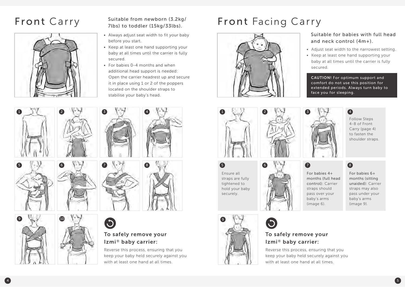

### Suitable from newborn (3.2kg/ 7lbs) to toddler (15kg/33lbs).

- Always adjust seat width to fit your baby before you start.
- Keep at least one hand supporting your baby at all times until the carrier is fully secured.
- $\bullet$  For babies 0-4 months and when additional head support is needed: Open the carrier headrest up and secure it in place using 1 or 2 of the poppers located on the shoulder straps to stabilise your baby's head.



 $\bullet$ 



### To safely remove your Izmi® baby carrier:

Reverse this process, ensuring that you keep your baby held securely against you with at least one hand at all times.

# Front Carry Suitable from newborn (3.2kg/ Front Facing Carry



### Suitable for babies with full head and neck control (4m+).

- Adjust seat width to the narrowest setting.
- Keep at least one hand supporting your baby at all times until the carrier is fully secured.

CAUTION! For optimum support and comfort do not use this position for extended periods. Always turn baby to face you for sleeping.





Follow Steps 4-8 of Front Carry (page 4) to fasten the shoulder straps.

Ensure all straps are fully tightened to hold your baby securely.



For babies 4+ months (full head control): Carrier straps should pass over your baby's arms (image 6).

# $\bullet$

For babies 6+ months (sitting unaided): Carrier straps may also pass under your baby's arms (image 9).



### To safely remove your Izmi® baby carrier:

Reverse this process, ensuring that you keep your baby held securely against you with at least one hand at all times.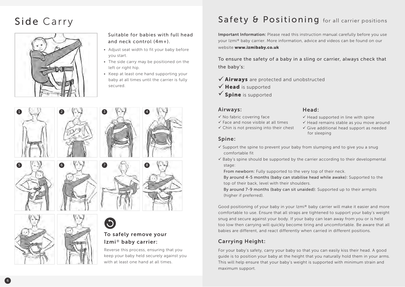# Side Carry



Suitable for babies with full head and neck control (4m+).

- Adjust seat width to fit your baby before you start.
- The side carry may be positioned on the left or right hip.
- Keep at least one hand supporting your baby at all times until the carrier is fully secured.







### To safely remove your Izmi® baby carrier:

Reverse this process, ensuring that you keep your baby held securely against you with at least one hand at all times.

# Safety & Positioning for all carrier positions

Important Information: Please read this instruction manual carefully before you use your Izmi® baby carrier. More information, advice and videos can be found on our website www.izmibaby.co.uk

To ensure the safety of a baby in a sling or carrier, always check that the baby's:

- $\checkmark$  Airways are protected and unobstructed
- $\checkmark$  Head is supported
- $\checkmark$  Spine is supported

### Airways:

- $\checkmark$  No fabric covering face
- $\checkmark$  Face and nose visible at all times
- $\checkmark$  Chin is not pressing into their chest

Head:

- $\checkmark$  Head supported in line with spine  $\checkmark$  Head remains stable as you move around
- $\checkmark$  Give additional head support as needed for sleeping

### Spine:

- $\checkmark$  Support the spine to prevent your baby from slumping and to give you a snug comfortable fit
- $\checkmark$  Baby's spine should be supported by the carrier according to their developmental stage:

From newborn: Fully supported to the very top of their neck.

By around 4-5 months (baby can stabilise head while awake): Supported to the top of their back, level with their shoulders.

By around 7-9 months (baby can sit unaided): Supported up to their armpits (higher if preferred).

Good positioning of your baby in your Izmi® baby carrier will make it easier and more comfortable to use. Ensure that all straps are tightened to support your baby's weight snug and secure against your body. If your baby can lean away from you or is held too low then carrying will quickly become tiring and uncomfortable. Be aware that all babies are different, and react differently when carried in different positions.

### Carrying Height:

For your baby's safety, carry your baby so that you can easily kiss their head. A good guide is to position your baby at the height that you naturally hold them in your arms. This will help ensure that your baby's weight is supported with minimum strain and maximum support.

6 ) that is a set of the set of the set of the set of the set of the set of the set of the set of the set of the set of the set of the set of the set of the set of the set of the set of the set of the set of the set of th